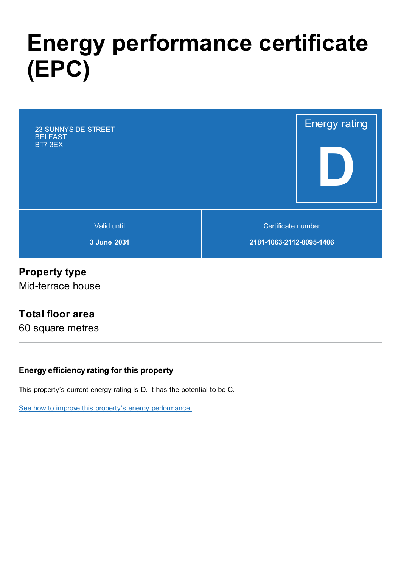# Energy performance certificate (EPC)



# Property type

Mid-terrace house

## Total floor area

60 square metres

#### Energy efficiency rating for this property

This property's current energy rating is D. It has the potential to be C.

See how to improve this property's energy [performance.](#page-3-0)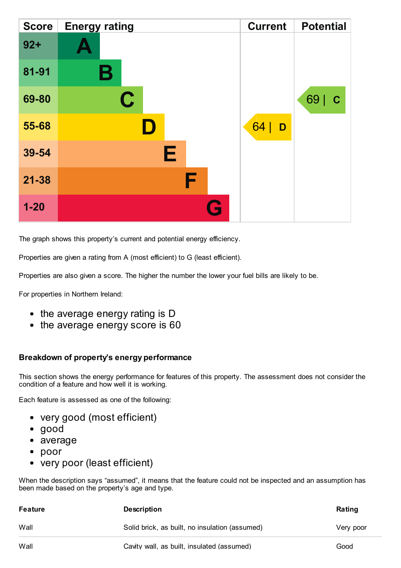| <b>Score</b> | <b>Energy rating</b> | <b>Current</b> | <b>Potential</b> |
|--------------|----------------------|----------------|------------------|
| $92 +$       |                      |                |                  |
| 81-91        | В                    |                |                  |
| 69-80        | $\mathbf C$          |                | 69<br>C          |
| 55-68        | D                    | 64<br>D        |                  |
| 39-54        | Е                    |                |                  |
| $21 - 38$    | F                    |                |                  |
| $1 - 20$     | Œ                    |                |                  |

The graph shows this property's current and potential energy efficiency.

Properties are given a rating from A (most efficient) to G (least efficient).

Properties are also given a score. The higher the number the lower your fuel bills are likely to be.

For properties in Northern Ireland:

- the average energy rating is D
- the average energy score is 60

#### Breakdown of property's energy performance

This section shows the energy performance for features of this property. The assessment does not consider the condition of a feature and how well it is working.

Each feature is assessed as one of the following:

- very good (most efficient)
- good
- average
- poor
- very poor (least efficient)

When the description says "assumed", it means that the feature could not be inspected and an assumption has been made based on the property's age and type.

| Feature | <b>Description</b>                             | Rating    |
|---------|------------------------------------------------|-----------|
| Wall    | Solid brick, as built, no insulation (assumed) | Very poor |
| Wall    | Cavity wall, as built, insulated (assumed)     | Good      |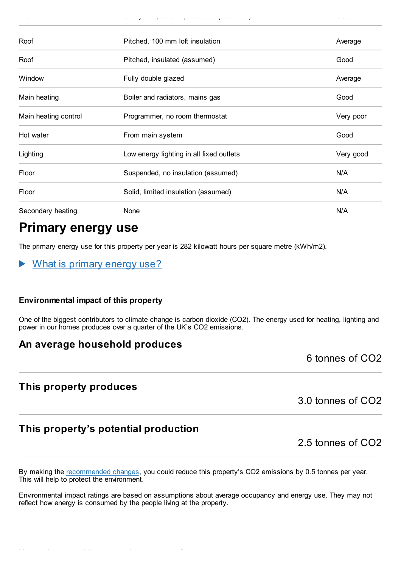| Roof                 | Pitched, 100 mm loft insulation          | Average   |
|----------------------|------------------------------------------|-----------|
| Roof                 | Pitched, insulated (assumed)             | Good      |
| Window               | Fully double glazed                      | Average   |
| Main heating         | Boiler and radiators, mains gas          | Good      |
| Main heating control | Programmer, no room thermostat           | Very poor |
| Hot water            | From main system                         | Good      |
| Lighting             | Low energy lighting in all fixed outlets | Very good |
| Floor                | Suspended, no insulation (assumed)       | N/A       |
| Floor                | Solid, limited insulation (assumed)      | N/A       |
| Secondary heating    | None                                     | N/A       |

wall cavity walls wall constituted (assumed)  $\alpha$ 

## Primary energy use

The primary energy use for this property per year is 282 kilowatt hours per square metre (kWh/m2).

What is primary energy use?  $\blacktriangleright$ 

#### Environmental impact of this property

One of the biggest contributors to climate change is carbon dioxide (CO2). The energy used for heating, lighting and power in our homes produces over a quarter of the UK's CO2 emissions.

## An average household produces

6 tonnes of CO2

## This property produces

3.0 tonnes of CO2

## This property's potential production

2.5 tonnes of CO2

By making the [recommended](#page-3-0) changes, you could reduce this property's CO2 emissions by 0.5 tonnes per year. This will help to protect the environment.

Environmental impact ratings are based on assumptions about average occupancy and energy use. They may not reflect how energy is consumed by the people living at the property.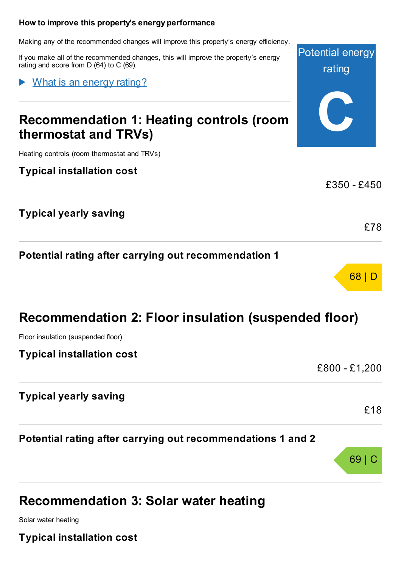#### <span id="page-3-0"></span>How to improve this property's energy performance

Making any of the recommended changes will improve this property's energy efficiency.

If you make all of the recommended changes, this will improve the property's energy rating and score from D (64) to C (69).

What is an energy rating?

# Recommendation 1: Heating controls (room thermostat and TRVs)

Heating controls (room thermostat and TRVs)

Typical installation cost

|                                                      | LJDU - L4DU |
|------------------------------------------------------|-------------|
| <b>Typical yearly saving</b>                         |             |
|                                                      | £78         |
| Potential rating after carrying out recommendation 1 |             |

# Recommendation 2: Floor insulation (suspended floor)

Floor insulation (suspended floor)

Typical installation cost

£800 - £1,200

Potential energy

rating

C

 $0.250$   $0.450$ 

68 | D

| <b>Typical yearly saving</b>                                |        |
|-------------------------------------------------------------|--------|
|                                                             | £18    |
| Potential rating after carrying out recommendations 1 and 2 |        |
|                                                             | 69   C |

## Recommendation 3: Solar water heating

Solar water heating

Typical installation cost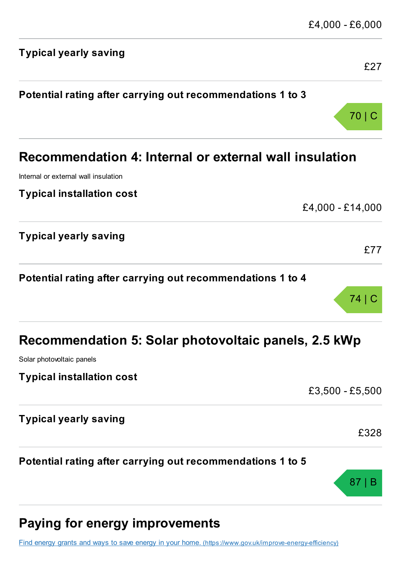| <b>Typical yearly saving</b>                                | £27              |
|-------------------------------------------------------------|------------------|
| Potential rating after carrying out recommendations 1 to 3  |                  |
|                                                             | 70               |
| Recommendation 4: Internal or external wall insulation      |                  |
| Internal or external wall insulation                        |                  |
| <b>Typical installation cost</b>                            |                  |
|                                                             | £4,000 - £14,000 |
| <b>Typical yearly saving</b>                                |                  |
|                                                             | £77              |
| Potential rating after carrying out recommendations 1 to 4  |                  |
|                                                             | 74   C           |
| <b>Recommendation 5: Solar photovoltaic panels, 2.5 kWp</b> |                  |
| Solar photovoltaic panels                                   |                  |
| <b>Typical installation cost</b>                            |                  |
|                                                             | £3,500 - £5,500  |
| <b>Typical yearly saving</b>                                |                  |
|                                                             | £328             |
| Potential rating after carrying out recommendations 1 to 5  |                  |
|                                                             | 87               |
|                                                             |                  |

# Paying for energy improvements

Find energy grants and ways to save energy in your home. [\(https://www.gov.uk/improve-energy-efficiency\)](https://www.gov.uk/improve-energy-efficiency)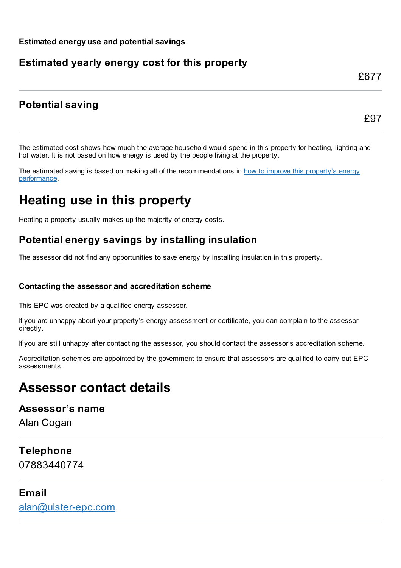## Estimated yearly energy cost for this property

## Potential saving

£97

£677

The estimated cost shows how much the average household would spend in this property for heating, lighting and hot water. It is not based on how energy is used by the people living at the property.

The estimated saving is based on making all of the [recommendations](#page-3-0) in how to improve this property's energy performance.

# Heating use in this property

Heating a property usually makes up the majority of energy costs.

## Potential energy savings by installing insulation

The assessor did not find any opportunities to save energy by installing insulation in this property.

#### Contacting the assessor and accreditation scheme

This EPC was created by a qualified energy assessor.

If you are unhappy about your property's energy assessment or certificate, you can complain to the assessor directly.

If you are still unhappy after contacting the assessor, you should contact the assessor's accreditation scheme.

Accreditation schemes are appointed by the government to ensure that assessors are qualified to carry out EPC assessments.

## Assessor contact details

## Assessor's name

Alan Cogan

# Telephone

07883440774

## Email

[alan@ulster-epc.com](mailto:alan@ulster-epc.com)